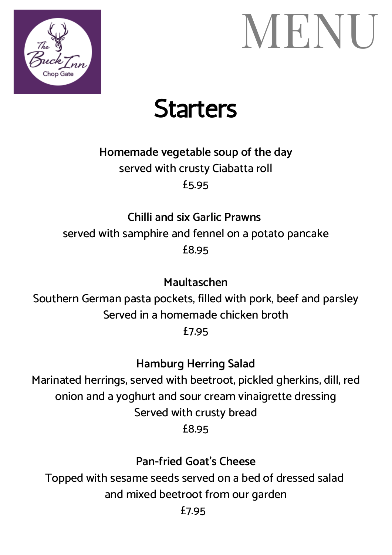

## MENU

#### **Starters**

#### **Homemade vegetable soup of the day** served with crusty Ciabatta roll £5.95

#### **Chilli and six Garlic Prawns** served with samphire and fennel on a potato pancake £8.95

**Maultaschen**

Southern German pasta pockets, filled with pork, beef and parsley Served in a homemade chicken broth

£7.95

**Hamburg Herring Salad**

Marinated herrings, served with beetroot, pickled gherkins, dill, red onion and a yoghurt and sour cream vinaigrette dressing Served with crusty bread £8.95

**Pan-fried Goat's Cheese**

Topped with sesame seeds served on a bed of dressed salad and mixed beetroot from our garden

£7.95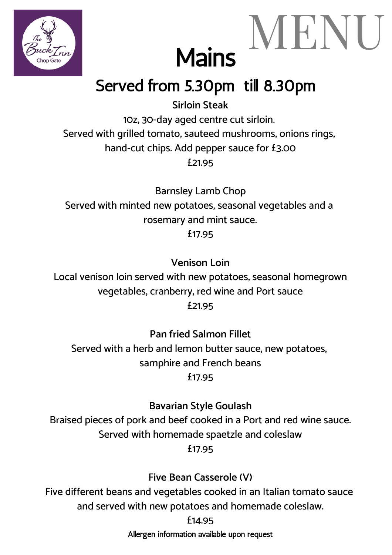



#### Served from 5.30pm till 8.30pm

**Sirloin Steak** 10z, 30-day aged centre cut sirloin. Served with grilled tomato, sauteed mushrooms, onions rings, hand-cut chips. Add pepper sauce for £3.00 £21.95

Barnsley Lamb Chop Served with minted new potatoes, seasonal vegetables and a rosemary and mint sauce. £17.95

**Venison Loin**

Local venison loin served with new potatoes, seasonal homegrown vegetables, cranberry, red wine and Port sauce £21.95

**Pan fried Salmon Fillet** Served with a herb and lemon butter sauce, new potatoes, samphire and French beans £17.95

**Bavarian Style Goulash** Braised pieces of pork and beef cooked in a Port and red wine sauce. Served with homemade spaetzle and coleslaw £17.95

**Five Bean Casserole (V)**

Five different beans and vegetables cooked in an Italian tomato sauce and served with new potatoes and homemade coleslaw.

£14.95

Allergen information available upon request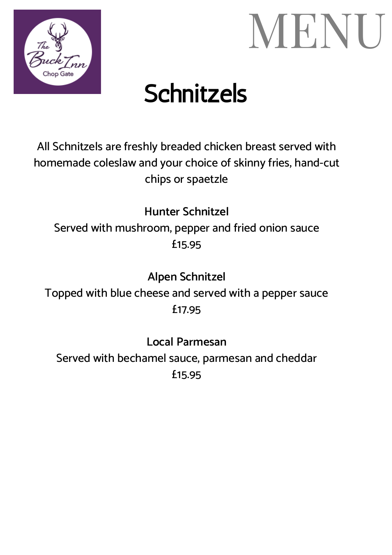



### **Schnitzels**

All Schnitzels are freshly breaded chicken breast served with homemade coleslaw and your choice of skinny fries, hand-cut chips or spaetzle

**Hunter Schnitzel** Served with mushroom, pepper and fried onion sauce £15.95

**Alpen Schnitzel** Topped with blue cheese and served with a pepper sauce £17.95

**Local Parmesan** Served with bechamel sauce, parmesan and cheddar £15.95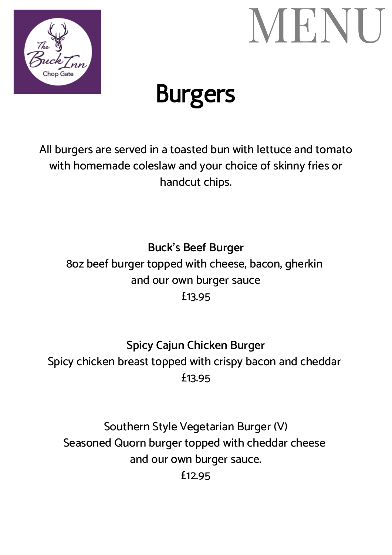



### Burgers

All burgers are served in a toasted bun with lettuce and tomato with homemade coleslaw and your choice of skinny fries or handcut chips.

**Buck's Beef Burger** 8oz beef burger topped with cheese, bacon, gherkin and our own burger sauce £13.95

**Spicy Cajun Chicken Burger** Spicy chicken breast topped with crispy bacon and cheddar £13.95

Southern Style Vegetarian Burger (V) Seasoned Quorn burger topped with cheddar cheese and our own burger sauce. £12.95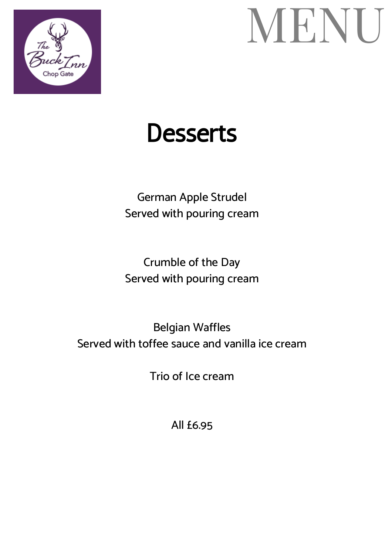

## MENU

#### **Desserts**

German Apple Strudel Served with pouring cream

Crumble of the Day Served with pouring cream

Belgian Waffles Served with toffee sauce and vanilla ice cream

Trio of Ice cream

All £6.95